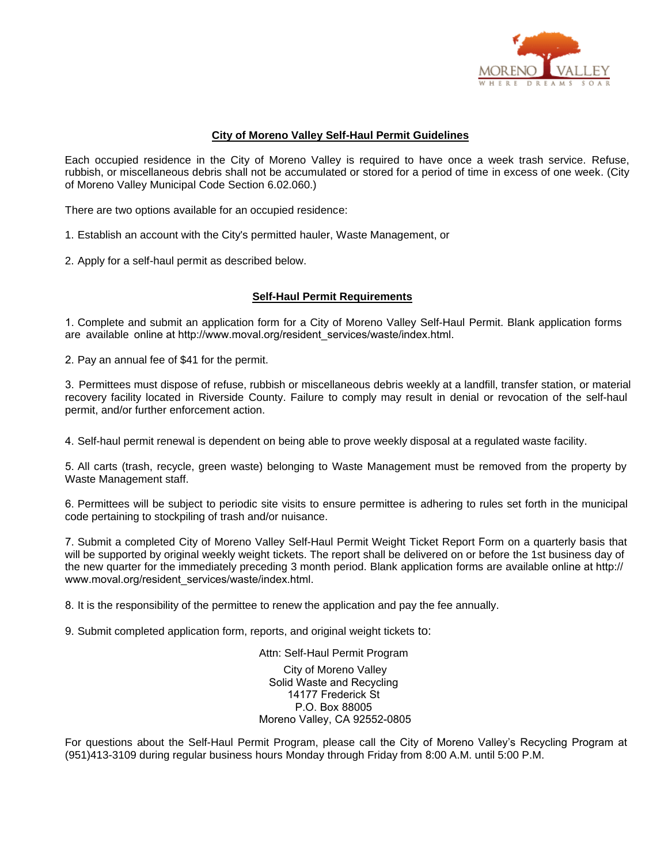

### **City of Moreno Valley Self-Haul Permit Guidelines**

Each occupied residence in the City of Moreno Valley is required to have once a week trash service. Refuse, rubbish, or miscellaneous debris shall not be accumulated or stored for a period of time in excess of one week. (City of Moreno Valley Municipal Code Section 6.02.060.)

There are two options available for an occupied residence:

1. Establish an account with the City's permitted hauler, Waste Management, or

2. Apply for a self-haul permit as described below.

#### **Self-Haul Permit Requirements**

1. Complete and submit an application form for a City of Moreno Valley Self-Haul Permit. Blank application forms are available online at http://www.moval.org/resident\_services/waste/index.html.

2. Pay an annual fee of \$41 for the permit.

3. Permittees must dispose of refuse, rubbish or miscellaneous debris weekly at a landfill, transfer station, or material recovery facility located in Riverside County. Failure to comply may result in denial or revocation of the self-haul permit, and/or further enforcement action.

4. Self-haul permit renewal is dependent on being able to prove weekly disposal at a regulated waste facility.

5. All carts (trash, recycle, green waste) belonging to Waste Management must be removed from the property by Waste Management staff.

6. Permittees will be subject to periodic site visits to ensure permittee is adhering to rules set forth in the municipal code pertaining to stockpiling of trash and/or nuisance.

7. Submit a completed City of Moreno Valley Self-Haul Permit Weight Ticket Report Form on a quarterly basis that will be supported by original weekly weight tickets. The report shall be delivered on or before the 1st business day of the new quarter for the immediately preceding 3 month period. Blank application forms are available online at http:// www.moval.org/resident\_services/waste/index.html.

8. It is the responsibility of the permittee to renew the application and pay the fee annually.

9. Submit completed application form, reports, and original weight tickets to:

Attn: Self-Haul Permit Program City of Moreno Valley Solid Waste and Recycling 14177 Frederick St P.O. Box 88005 Moreno Valley, CA 92552-0805

For questions about the Self-Haul Permit Program, please call the City of Moreno Valley's Recycling Program at (951)413-3109 during regular business hours Monday through Friday from 8:00 A.M. until 5:00 P.M.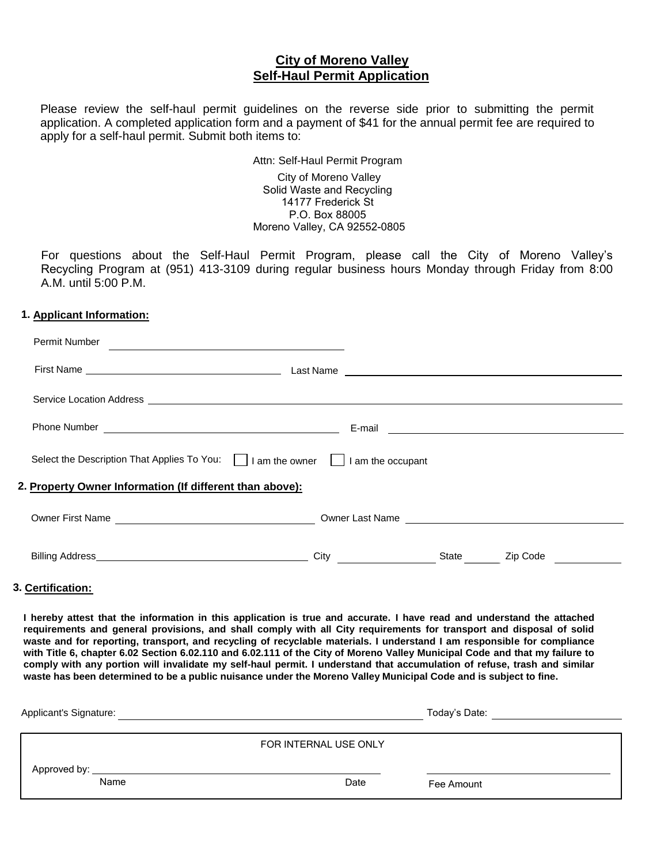# **City of Moreno Valley Self-Haul Permit Application**

Please review the self-haul permit guidelines on the reverse side prior to submitting the permit application. A completed application form and a payment of \$41 for the annual permit fee are required to apply for a self-haul permit. Submit both items to:

# Attn: Self-Haul Permit Program

 City of Moreno Valley Solid Waste and Recycling 14177 Frederick St P.O. Box 88005 Moreno Valley, CA 92552-0805

For questions about the Self-Haul Permit Program, please call the City of Moreno Valley's Recycling Program at (951) 413-3109 during regular business hours Monday through Friday from 8:00 A.M. until 5:00 P.M.

#### **1. Applicant Information:**

| <b>Permit Number</b>                                                                 |                                                                                                                                                                                                                                      |       |          |
|--------------------------------------------------------------------------------------|--------------------------------------------------------------------------------------------------------------------------------------------------------------------------------------------------------------------------------------|-------|----------|
|                                                                                      |                                                                                                                                                                                                                                      |       |          |
|                                                                                      |                                                                                                                                                                                                                                      |       |          |
|                                                                                      |                                                                                                                                                                                                                                      |       |          |
| Select the Description That Applies To You:       am the owner       am the occupant |                                                                                                                                                                                                                                      |       |          |
| 2. Property Owner Information (If different than above):                             |                                                                                                                                                                                                                                      |       |          |
|                                                                                      |                                                                                                                                                                                                                                      |       |          |
|                                                                                      | City <u>and the contract of the contract of the contract of the contract of the contract of the contract of the contract of the contract of the contract of the contract of the contract of the contract of the contract of the </u> | State | Zip Code |
|                                                                                      |                                                                                                                                                                                                                                      |       |          |

## **3. Certification:**

**I hereby attest that the information in this application is true and accurate. I have read and understand the attached requirements and general provisions, and shall comply with all City requirements for transport and disposal of solid waste and for reporting, transport, and recycling of recyclable materials. I understand I am responsible for compliance with Title 6, chapter 6.02 Section 6.02.110 and 6.02.111 of the City of Moreno Valley Municipal Code and that my failure to comply with any portion will invalidate my self-haul permit. I understand that accumulation of refuse, trash and similar waste has been determined to be a public nuisance under the Moreno Valley Municipal Code and is subject to fine.** 

| Applicant's Signature:                                                                                                                                                                                                         | Today's Date:         |            |
|--------------------------------------------------------------------------------------------------------------------------------------------------------------------------------------------------------------------------------|-----------------------|------------|
|                                                                                                                                                                                                                                |                       |            |
|                                                                                                                                                                                                                                | FOR INTERNAL USE ONLY |            |
| Approved by: the contract of the contract of the contract of the contract of the contract of the contract of the contract of the contract of the contract of the contract of the contract of the contract of the contract of t |                       |            |
| Name                                                                                                                                                                                                                           | Date                  | Fee Amount |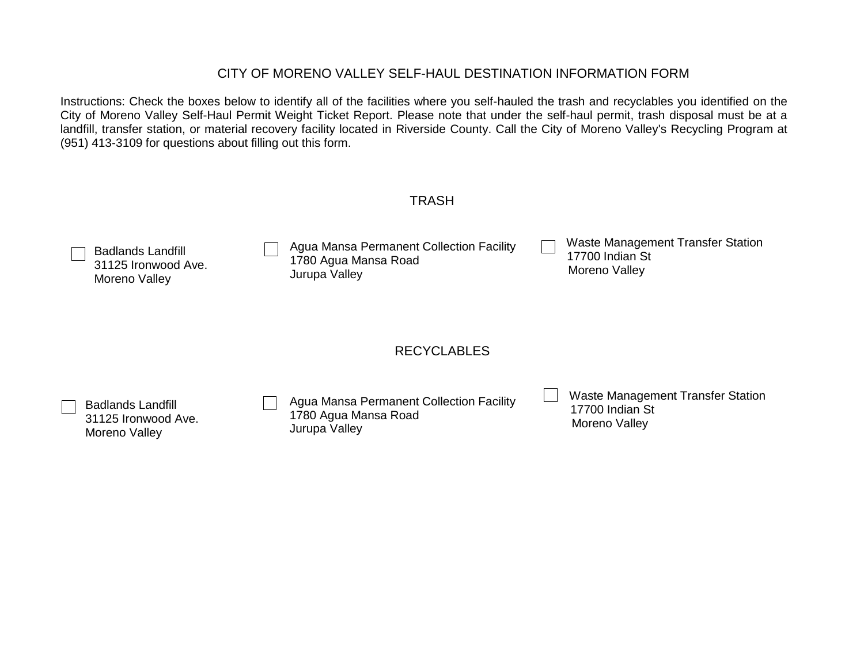# CITY OF MORENO VALLEY SELF-HAUL DESTINATION INFORMATION FORM

Instructions: Check the boxes below to identify all of the facilities where you self-hauled the trash and recyclables you identified on the City of Moreno Valley Self-Haul Permit Weight Ticket Report. Please note that under the self-haul permit, trash disposal must be at a landfill, transfer station, or material recovery facility located in Riverside County. Call the City of Moreno Valley's Recycling Program at (951) 413-3109 for questions about filling out this form.